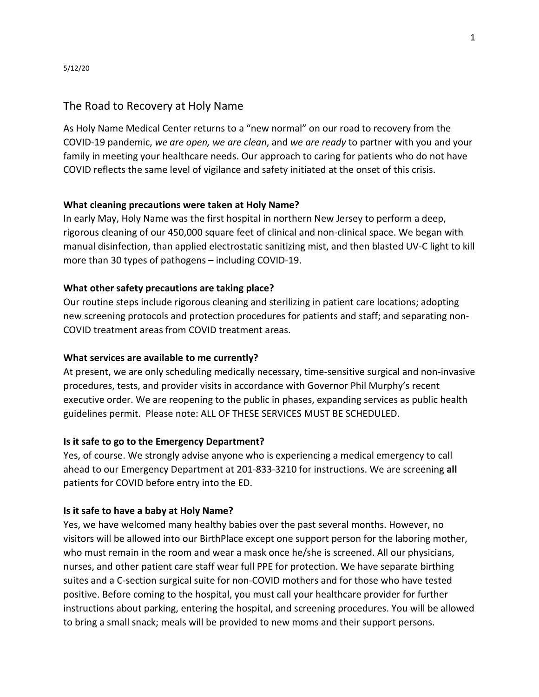## The Road to Recovery at Holy Name

As Holy Name Medical Center returns to a "new normal" on our road to recovery from the COVID-19 pandemic, *we are open, we are clean*, and *we are ready* to partner with you and your family in meeting your healthcare needs. Our approach to caring for patients who do not have COVID reflects the same level of vigilance and safety initiated at the onset of this crisis.

## **What cleaning precautions were taken at Holy Name?**

In early May, Holy Name was the first hospital in northern New Jersey to perform a deep, rigorous cleaning of our 450,000 square feet of clinical and non-clinical space. We began with manual disinfection, than applied electrostatic sanitizing mist, and then blasted UV-C light to kill more than 30 types of pathogens – including COVID-19.

## **What other safety precautions are taking place?**

Our routine steps include rigorous cleaning and sterilizing in patient care locations; adopting new screening protocols and protection procedures for patients and staff; and separating non-COVID treatment areas from COVID treatment areas.

## **What services are available to me currently?**

At present, we are only scheduling medically necessary, time-sensitive surgical and non-invasive procedures, tests, and provider visits in accordance with Governor Phil Murphy's recent executive order. We are reopening to the public in phases, expanding services as public health guidelines permit. Please note: ALL OF THESE SERVICES MUST BE SCHEDULED.

## **Is it safe to go to the Emergency Department?**

Yes, of course. We strongly advise anyone who is experiencing a medical emergency to call ahead to our Emergency Department at 201-833-3210 for instructions. We are screening **all** patients for COVID before entry into the ED.

## **Is it safe to have a baby at Holy Name?**

Yes, we have welcomed many healthy babies over the past several months. However, no visitors will be allowed into our BirthPlace except one support person for the laboring mother, who must remain in the room and wear a mask once he/she is screened. All our physicians, nurses, and other patient care staff wear full PPE for protection. We have separate birthing suites and a C-section surgical suite for non-COVID mothers and for those who have tested positive. Before coming to the hospital, you must call your healthcare provider for further instructions about parking, entering the hospital, and screening procedures. You will be allowed to bring a small snack; meals will be provided to new moms and their support persons.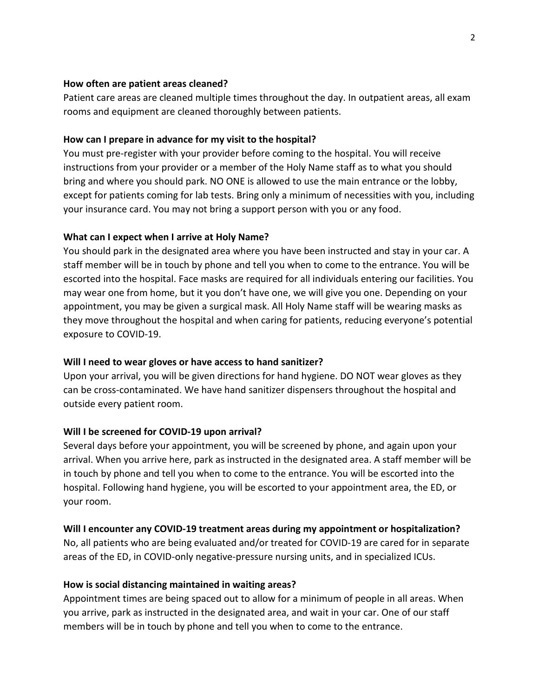## **How often are patient areas cleaned?**

Patient care areas are cleaned multiple times throughout the day. In outpatient areas, all exam rooms and equipment are cleaned thoroughly between patients.

## **How can I prepare in advance for my visit to the hospital?**

You must pre-register with your provider before coming to the hospital. You will receive instructions from your provider or a member of the Holy Name staff as to what you should bring and where you should park. NO ONE is allowed to use the main entrance or the lobby, except for patients coming for lab tests. Bring only a minimum of necessities with you, including your insurance card. You may not bring a support person with you or any food.

## **What can I expect when I arrive at Holy Name?**

You should park in the designated area where you have been instructed and stay in your car. A staff member will be in touch by phone and tell you when to come to the entrance. You will be escorted into the hospital. Face masks are required for all individuals entering our facilities. You may wear one from home, but it you don't have one, we will give you one. Depending on your appointment, you may be given a surgical mask. All Holy Name staff will be wearing masks as they move throughout the hospital and when caring for patients, reducing everyone's potential exposure to COVID-19.

## **Will I need to wear gloves or have access to hand sanitizer?**

Upon your arrival, you will be given directions for hand hygiene. DO NOT wear gloves as they can be cross-contaminated. We have hand sanitizer dispensers throughout the hospital and outside every patient room.

## **Will I be screened for COVID-19 upon arrival?**

Several days before your appointment, you will be screened by phone, and again upon your arrival. When you arrive here, park as instructed in the designated area. A staff member will be in touch by phone and tell you when to come to the entrance. You will be escorted into the hospital. Following hand hygiene, you will be escorted to your appointment area, the ED, or your room.

## **Will I encounter any COVID-19 treatment areas during my appointment or hospitalization?**

No, all patients who are being evaluated and/or treated for COVID-19 are cared for in separate areas of the ED, in COVID-only negative-pressure nursing units, and in specialized ICUs.

## **How is social distancing maintained in waiting areas?**

Appointment times are being spaced out to allow for a minimum of people in all areas. When you arrive, park as instructed in the designated area, and wait in your car. One of our staff members will be in touch by phone and tell you when to come to the entrance.